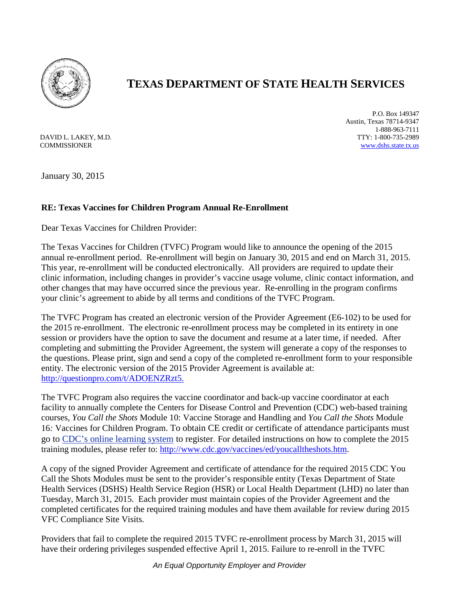

## **TEXAS DEPARTMENT OF STATE HEALTH SERVICES**

DAVID L. LAKEY, M.D. **COMMISSIONER** 

P.O. Box 149347 Austin, Texas 78714-9347 1-888-963-7111 TTY: 1-800-735-2989 [www.dshs.state.tx.us](http://www.dshs.state.tx.us/)

January 30, 2015

## **RE: Texas Vaccines for Children Program Annual Re-Enrollment**

Dear Texas Vaccines for Children Provider:

The Texas Vaccines for Children (TVFC) Program would like to announce the opening of the 2015 annual re-enrollment period. Re-enrollment will begin on January 30, 2015 and end on March 31, 2015. This year, re-enrollment will be conducted electronically. All providers are required to update their clinic information, including changes in provider's vaccine usage volume, clinic contact information, and other changes that may have occurred since the previous year. Re-enrolling in the program confirms your clinic's agreement to abide by all terms and conditions of the TVFC Program.

The TVFC Program has created an electronic version of the Provider Agreement (E6-102) to be used for the 2015 re-enrollment. The electronic re-enrollment process may be completed in its entirety in one session or providers have the option to save the document and resume at a later time, if needed. After completing and submitting the Provider Agreement, the system will generate a copy of the responses to the questions. Please print, sign and send a copy of the completed re-enrollment form to your responsible entity. The electronic version of the 2015 Provider Agreement is available at: [http://questionpro.com/t/ADOENZRzt5.](http://questionpro.com/t/ADOENZRzt5)

The TVFC Program also requires the vaccine coordinator and back-up vaccine coordinator at each facility to annually complete the Centers for Disease Control and Prevention (CDC) web-based training courses, *You Call the Shots* Module 10: Vaccine Storage and Handling and *You Call the Shots* Module 16*:* Vaccines for Children Program. To obtain CE credit or certificate of attendance participants must go to [CDC's online learning system](http://www.cdc.gov/tceonline/) to register. For detailed instructions on how to complete the 2015 training modules, please refer to: [http://www.cdc.gov/vaccines/ed/youcalltheshots.htm.](http://www.cdc.gov/vaccines/ed/youcalltheshots.htm)

A copy of the signed Provider Agreement and certificate of attendance for the required 2015 CDC You Call the Shots Modules must be sent to the provider's responsible entity (Texas Department of State Health Services (DSHS) Health Service Region (HSR) or Local Health Department (LHD) no later than Tuesday, March 31, 2015. Each provider must maintain copies of the Provider Agreement and the completed certificates for the required training modules and have them available for review during 2015 VFC Compliance Site Visits.

Providers that fail to complete the required 2015 TVFC re-enrollment process by March 31, 2015 will have their ordering privileges suspended effective April 1, 2015. Failure to re-enroll in the TVFC

*An Equal Opportunity Employer and Provider*